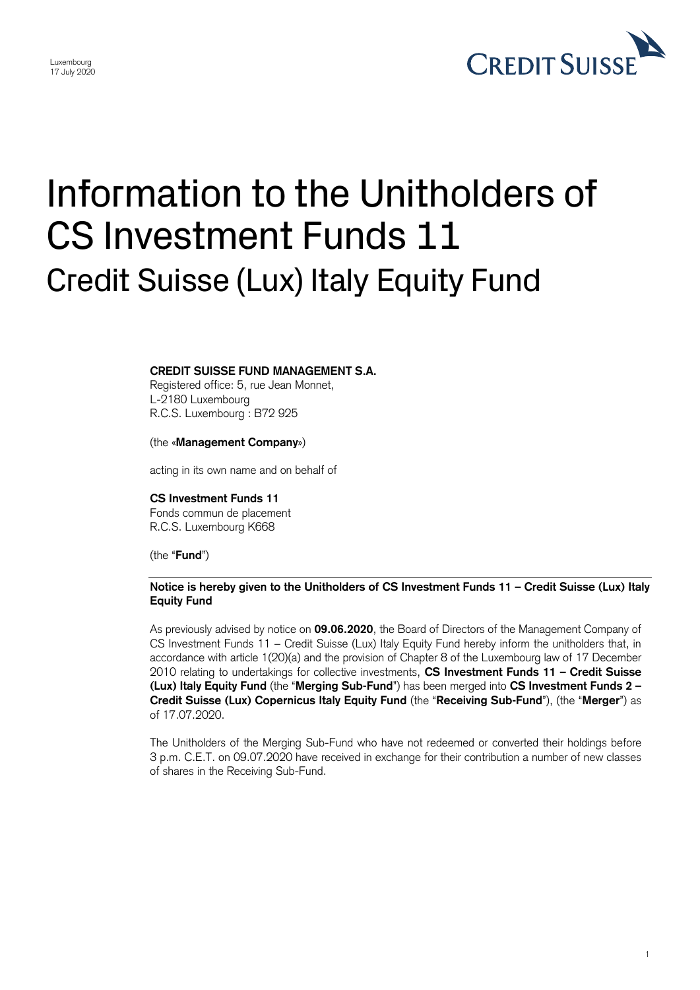

1

# Information to the Unitholders of CS Investment Funds 11 Credit Suisse (Lux) Italy Equity Fund

# **CREDIT SUISSE FUND MANAGEMENT S.A.**

Registered office: 5, rue Jean Monnet, L-2180 Luxembourg R.C.S. Luxembourg : B72 925

### (the «**Management Company**»)

acting in its own name and on behalf of

#### **CS Investment Funds 11**

Fonds commun de placement R.C.S. Luxembourg K668

(the "**Fund**")

# **Notice is hereby given to the Unitholders of CS Investment Funds 11 – Credit Suisse (Lux) Italy Equity Fund**

 As previously advised by notice on **09.06.2020**, the Board of Directors of the Management Company of CS Investment Funds 11 – Credit Suisse (Lux) Italy Equity Fund hereby inform the unitholders that, in accordance with article 1(20)(a) and the provision of Chapter 8 of the Luxembourg law of 17 December **(Lux) Italy Equity Fund** (the "**Merging Sub-Fund**") has been merged into **CS Investment Funds 2 –** 2010 relating to undertakings for collective investments, **CS Investment Funds 11 – Credit Suisse Credit Suisse (Lux) Copernicus Italy Equity Fund** (the "**Receiving Sub-Fund**"), (the "**Merger**") as of 17.07.2020.

 The Unitholders of the Merging Sub-Fund who have not redeemed or converted their holdings before 3 p.m. C.E.T. on 09.07.2020 have received in exchange for their contribution a number of new classes of shares in the Receiving Sub-Fund.